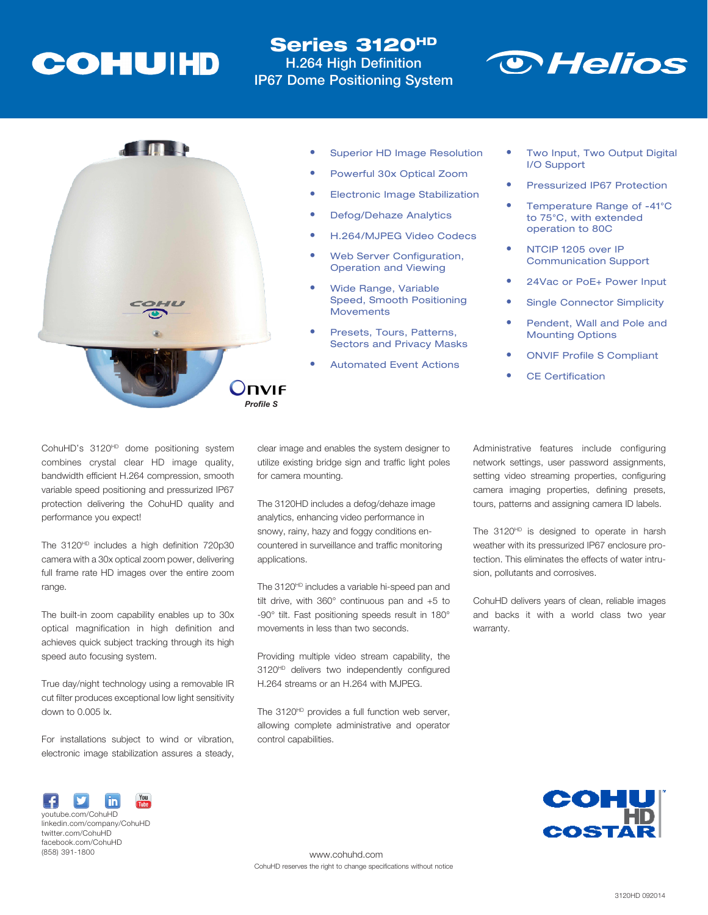## **COHUIHD**

### Series 3120HD H.264 High Definition **IP67 Dome Positioning System**





- **Superior HD Image Resolution**
- Powerful 30x Optical Zoom
- **Electronic Image Stabilization**
- Defog/Dehaze Analytics
- H.264/MJPEG Video Codecs
- Web Server Configuration. Operation and Viewing
- **Wide Range, Variable** Speed, Smooth Positioning **Movements**
- Presets, Tours, Patterns, Sectors and Privacy Masks
- **Automated Event Actions**
- Two Input, Two Output Digital I/O Support
- Pressurized IP67 Protection
- Temperature Range of -41°C to 75°C, with extended operation to 80C
- NTCIP 1205 over IP Communication Support
- 24Vac or PoE+ Power Input
- **Single Connector Simplicity**
- Pendent, Wall and Pole and Mounting Options
- **ONVIF Profile S Compliant**
- **CE Certification**

CohuHD's 3120<sup>HD</sup> dome positioning system combines crystal clear HD image quality, bandwidth efficient H.264 compression, smooth variable speed positioning and pressurized IP67 protection delivering the CohuHD quality and performance you expect!

The 3120<sup>HD</sup> includes a high definition 720p30 camera with a 30x optical zoom power, delivering full frame rate HD images over the entire zoom range.

The built-in zoom capability enables up to 30x optical magnification in high definition and achieves quick subject tracking through its high speed auto focusing system.

True day/night technology using a removable IR cut filter produces exceptional low light sensitivity down to 0.005 lx.

For installations subject to wind or vibration, electronic image stabilization assures a steady, clear image and enables the system designer to utilize existing bridge sign and traffic light poles for camera mounting.

The 3120HD includes a defog/dehaze image analytics, enhancing video performance in snowy, rainy, hazy and foggy conditions encountered in surveillance and traffic monitoring applications.

The 3120<sup>HD</sup> includes a variable hi-speed pan and tilt drive, with 360° continuous pan and +5 to -90° tilt. Fast positioning speeds result in 180° movements in less than two seconds.

Providing multiple video stream capability, the 3120<sup>HD</sup> delivers two independently configured H.264 streams or an H.264 with MJPEG.

The 3120<sup>HD</sup> provides a full function web server, allowing complete administrative and operator control capabilities.

Administrative features include configuring network settings, user password assignments, setting video streaming properties, configuring camera imaging properties, defining presets, tours, patterns and assigning camera ID labels.

The 3120<sup>HD</sup> is designed to operate in harsh weather with its pressurized IP67 enclosure protection. This eliminates the effects of water intrusion, pollutants and corrosives.

CohuHD delivers years of clean, reliable images and backs it with a world class two year warranty.



linkedin.com/company/CohuHD twitter.com/CohuHD facebook.com/CohuHD (858) 391-1800

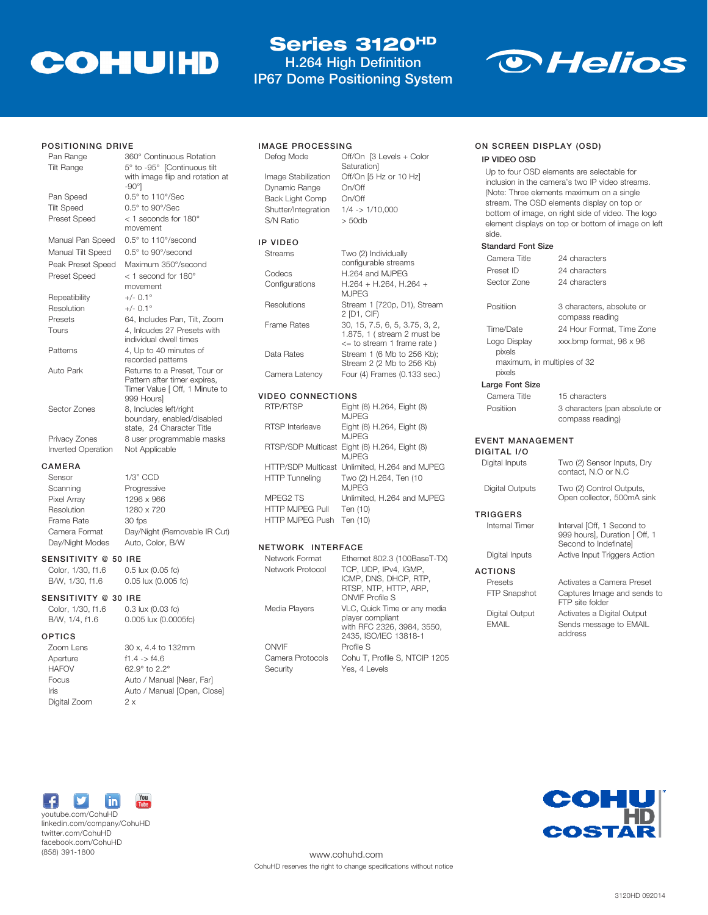# **COHUIHD**

### Series 3120HD

H.264 High Definition IP67 Dome Positioning System

Saturation]



#### POSITIONING DRIVE

| 360° Continuous Rotation                                                                                     |
|--------------------------------------------------------------------------------------------------------------|
| 5° to -95° [Continuous tilt<br>with image flip and rotation at<br>$-90^\circ$                                |
| 0.5° to 110°/Sec                                                                                             |
| $0.5^\circ$ to 90 $\degree$ /Sec                                                                             |
| $<$ 1 seconds for 180 $^{\circ}$<br>movement                                                                 |
| $0.5^\circ$ to 110 $\degree$ /second                                                                         |
| $0.5^\circ$ to 90 $\degree$ /second                                                                          |
| Maximum 350°/second                                                                                          |
| $<$ 1 second for 180 $^{\circ}$                                                                              |
| movement                                                                                                     |
| $+/-$ 0.1°                                                                                                   |
| $+/-$ 0.1°                                                                                                   |
| 64, Includes Pan, Tilt, Zoom                                                                                 |
| 4. Inlcudes 27 Presets with<br>individual dwell times                                                        |
| 4, Up to 40 minutes of<br>recorded patterns                                                                  |
| Returns to a Preset, Tour or<br>Pattern after timer expires,<br>Timer Value [ Off, 1 Minute to<br>999 Hours] |
| 8, Includes left/right<br>boundary, enabled/disabled<br>state. 24 Character Title                            |
| 8 user programmable masks                                                                                    |
| Not Applicable                                                                                               |
|                                                                                                              |

#### CAMERA Sens

Focus

| Sensor          | $1/3"$ CCD                   |
|-----------------|------------------------------|
| Scanning        | Progressive                  |
| Pixel Array     | 1296 x 966                   |
| Resolution      | 1280 x 720                   |
| Frame Rate      | 30 fps                       |
| Camera Format   | Day/Night (Removable IR Cut) |
| Day/Night Modes | Auto, Color, B/W             |

#### SENSITIVITY @ 50 IRE

Color, 1/30, f1.6 0.5 lux (0.05 fc) B/W, 1/30, f1.6 0.05 lux (0.005 fc)

#### SENSITIVITY @ 30 IRE

| Color, 1/30, f1.6 | 0.3 lux (0.03 fc)               |
|-------------------|---------------------------------|
| B/W, 1/4, f1.6    | 0.005 lux (0.0005fc)            |
| <b>OPTICS</b>     |                                 |
| Zoom Lens         | 30 x, 4.4 to 132mm              |
| Aperture          | $f1.4 - > f4.6$                 |
| <b>HAFOV</b>      | $62.9^{\circ}$ to $2.2^{\circ}$ |

| <b>HAFOV</b> | 62.9° to 2.2°               |
|--------------|-----------------------------|
| Focus        | Auto / Manual [Near, Far]   |
| Iris         | Auto / Manual [Open, Close] |
| Digital Zoom | 2x                          |

#### IMAGE PROCESSING

```
Defog Mode Off/On [3 Levels + Color 
Image Stabilization Off/On [5 Hz or 10 Hz]
Dynamic Range On/Off
Back Light Comp On/Off
Shutter/Integration 1/4 -> 1/10,000
S/N Ratio > 50db
```
IP VIDEO

| Streams            | Two (2) Individually<br>configurable streams                                               |
|--------------------|--------------------------------------------------------------------------------------------|
| Codecs             | H.264 and MJPEG                                                                            |
| Configurations     | H.264 + H.264, H.264 +<br>M. IPFG                                                          |
| Resolutions        | Stream 1 [720p, D1), Stream<br>2 [D1, CIF)                                                 |
| <b>Frame Rates</b> | 30, 15, 7.5, 6, 5, 3.75, 3, 2,<br>1.875, 1 (stream 2 must be<br><= to stream 1 frame rate) |
| Data Rates         | Stream 1 (6 Mb to 256 Kb);<br>Stream 2 (2 Mb to 256 Kb)                                    |
| Camera Latency     | Four (4) Frames (0.133 sec.)                                                               |

#### VIDEO CONNECTIONS

| RTP/RTSP                                       | Eight (8) H.264, Eight (8)<br><b>MJPEG</b>                                               |
|------------------------------------------------|------------------------------------------------------------------------------------------|
| <b>RTSP</b> Interleave                         | Eight (8) H.264, Eight (8)<br><b>MJPEG</b>                                               |
|                                                | RTSP/SDP Multicast Eight (8) H.264, Eight (8)<br><b>MJPEG</b>                            |
| <b>HTTP Tunneling</b>                          | HTTP/SDP Multicast Unlimited, H.264 and MJPEG<br>Two (2) H.264, Ten (10)<br><b>MJPEG</b> |
| MPEG2 TS<br>HTTP MJPEG Pull<br>HTTP MJPEG Push | Unlimited, H.264 and MJPEG<br>Ten (10)<br>Ten (10)                                       |
|                                                |                                                                                          |

#### NETWORK INTERFACE

| Ethernet 802.3 (100BaseT-TX)  |
|-------------------------------|
|                               |
|                               |
|                               |
|                               |
| Cohu T, Profile S, NTCIP 1205 |
| VLC, Quick Time or any media  |

#### ON SCREEN DISPLAY (OSD)

#### IP VIDEO OSD

Up to four OSD elements are selectable for inclusion in the camera's two IP video streams. (Note: Three elements maximum on a single stream. The OSD elements display on top or bottom of image, on right side of video. The logo element displays on top or bottom of image on left side.

#### Standard Font Si

| Standard Font Size                    |                                                                                      |
|---------------------------------------|--------------------------------------------------------------------------------------|
| Camera Title                          | 24 characters                                                                        |
| Preset ID                             | 24 characters                                                                        |
| Sector Zone                           | 24 characters                                                                        |
| Positiion                             | 3 characters, absolute or<br>compass reading                                         |
| Time/Date                             | 24 Hour Format. Time Zone                                                            |
| Logo Display<br>pixels                | xxx.bmp format, 96 x 96                                                              |
| maximum, in multiples of 32<br>pixels |                                                                                      |
| Large Font Size                       |                                                                                      |
| Camera Title                          | 15 characters                                                                        |
| Positiion                             | 3 characters (pan absolute or<br>compass reading)                                    |
| EVENT MANAGEMENT<br>DIGITAL I/O       |                                                                                      |
| Digital Inputs                        | Two (2) Sensor Inputs, Dry<br>contact. N.O or N.C                                    |
| Digital Outputs                       | Two (2) Control Outputs,<br>Open collector, 500mA sink                               |
| TRIGGERS                              |                                                                                      |
| Internal Timer                        | Interval [Off, 1 Second to<br>999 hours], Duration [ Off, 1<br>Second to Indefinate] |
| Digital Inputs                        | Active Input Triggers Action                                                         |
| ACTIONS                               |                                                                                      |
| Presets                               | Activates a Camera Preset                                                            |
| FTP Snapshot                          | Captures Image and sends to<br>FTP site folder                                       |
| Digital Output                        | Activates a Digital Output                                                           |
| <b>FMAIL</b>                          | Sends message to EMAIL<br>address                                                    |



youtube.com/CohuHD linkedin.com/company/CohuHD twitter.com/CohuHD facebook.com/CohuHD (858) 391-1800



www.cohuhd.com CohuHD reserves the right to change specifications without notice